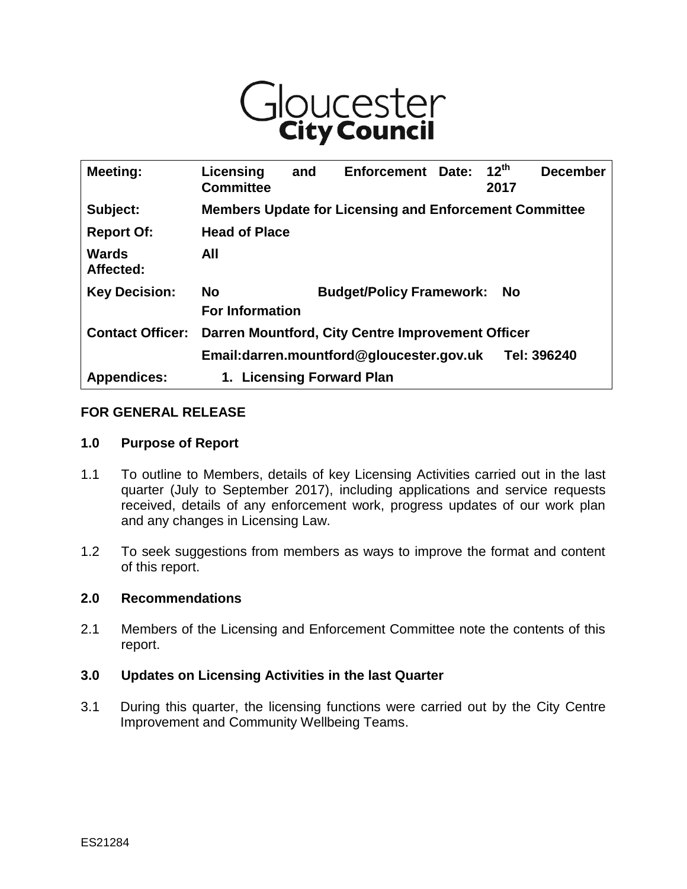

| Meeting:                  | Licensing<br><b>Committee</b>                                 | and | <b>Enforcement</b>              | Date: | $12^{th}$<br>2017 | <b>December</b> |
|---------------------------|---------------------------------------------------------------|-----|---------------------------------|-------|-------------------|-----------------|
| Subject:                  | <b>Members Update for Licensing and Enforcement Committee</b> |     |                                 |       |                   |                 |
| <b>Report Of:</b>         | <b>Head of Place</b>                                          |     |                                 |       |                   |                 |
| <b>Wards</b><br>Affected: | All                                                           |     |                                 |       |                   |                 |
| <b>Key Decision:</b>      | <b>No</b><br><b>For Information</b>                           |     | <b>Budget/Policy Framework:</b> |       | - No              |                 |
| <b>Contact Officer:</b>   | Darren Mountford, City Centre Improvement Officer             |     |                                 |       |                   |                 |
|                           | Email:darren.mountford@gloucester.gov.uk<br>Tel: 396240       |     |                                 |       |                   |                 |
| <b>Appendices:</b>        | <b>Licensing Forward Plan</b><br>1.                           |     |                                 |       |                   |                 |

#### **FOR GENERAL RELEASE**

#### **1.0 Purpose of Report**

- 1.1 To outline to Members, details of key Licensing Activities carried out in the last quarter (July to September 2017), including applications and service requests received, details of any enforcement work, progress updates of our work plan and any changes in Licensing Law.
- 1.2 To seek suggestions from members as ways to improve the format and content of this report.

#### **2.0 Recommendations**

2.1 Members of the Licensing and Enforcement Committee note the contents of this report.

#### **3.0 Updates on Licensing Activities in the last Quarter**

3.1 During this quarter, the licensing functions were carried out by the City Centre Improvement and Community Wellbeing Teams.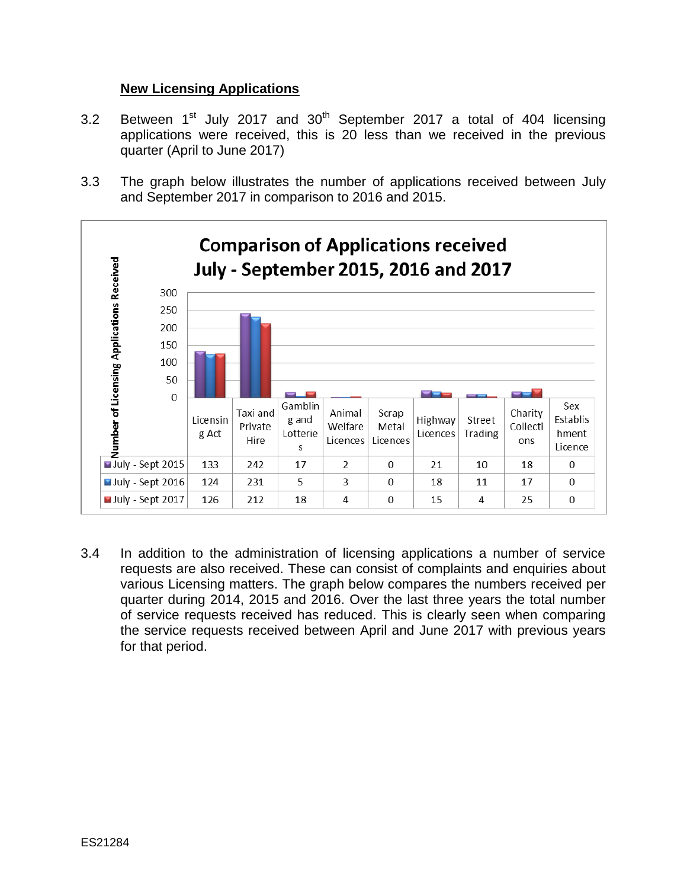# **New Licensing Applications**

- 3.2 Between  $1<sup>st</sup>$  July 2017 and  $30<sup>th</sup>$  September 2017 a total of 404 licensing applications were received, this is 20 less than we received in the previous quarter (April to June 2017)
- 3.3 The graph below illustrates the number of applications received between July and September 2017 in comparison to 2016 and 2015.



3.4 In addition to the administration of licensing applications a number of service requests are also received. These can consist of complaints and enquiries about various Licensing matters. The graph below compares the numbers received per quarter during 2014, 2015 and 2016. Over the last three years the total number of service requests received has reduced. This is clearly seen when comparing the service requests received between April and June 2017 with previous years for that period.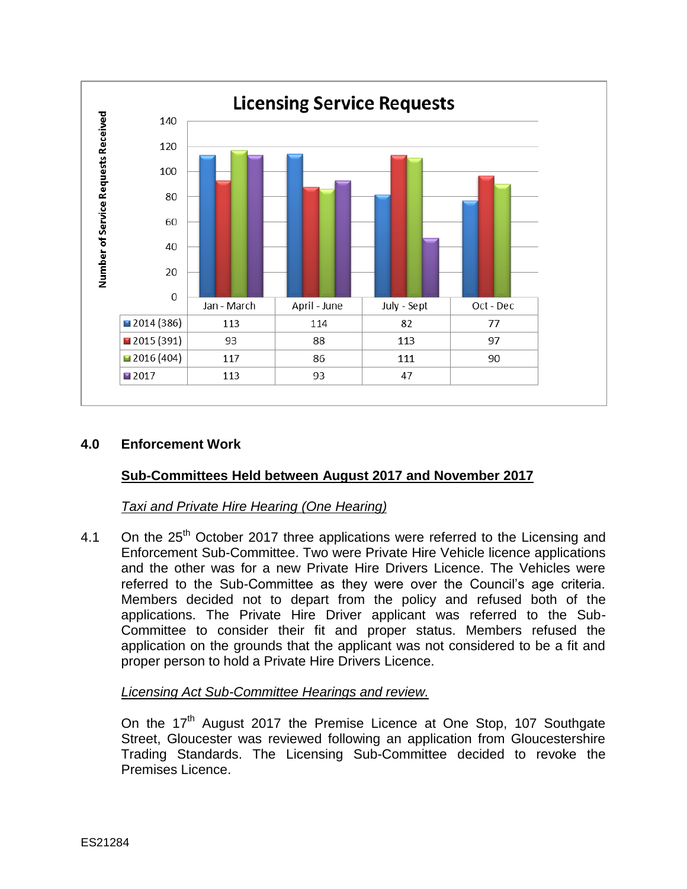

# **4.0 Enforcement Work**

# **Sub-Committees Held between August 2017 and November 2017**

# *Taxi and Private Hire Hearing (One Hearing)*

4.1 On the 25<sup>th</sup> October 2017 three applications were referred to the Licensing and Enforcement Sub-Committee. Two were Private Hire Vehicle licence applications and the other was for a new Private Hire Drivers Licence. The Vehicles were referred to the Sub-Committee as they were over the Council's age criteria. Members decided not to depart from the policy and refused both of the applications. The Private Hire Driver applicant was referred to the Sub-Committee to consider their fit and proper status. Members refused the application on the grounds that the applicant was not considered to be a fit and proper person to hold a Private Hire Drivers Licence.

# *Licensing Act Sub-Committee Hearings and review.*

On the 17<sup>th</sup> August 2017 the Premise Licence at One Stop, 107 Southgate Street, Gloucester was reviewed following an application from Gloucestershire Trading Standards. The Licensing Sub-Committee decided to revoke the Premises Licence.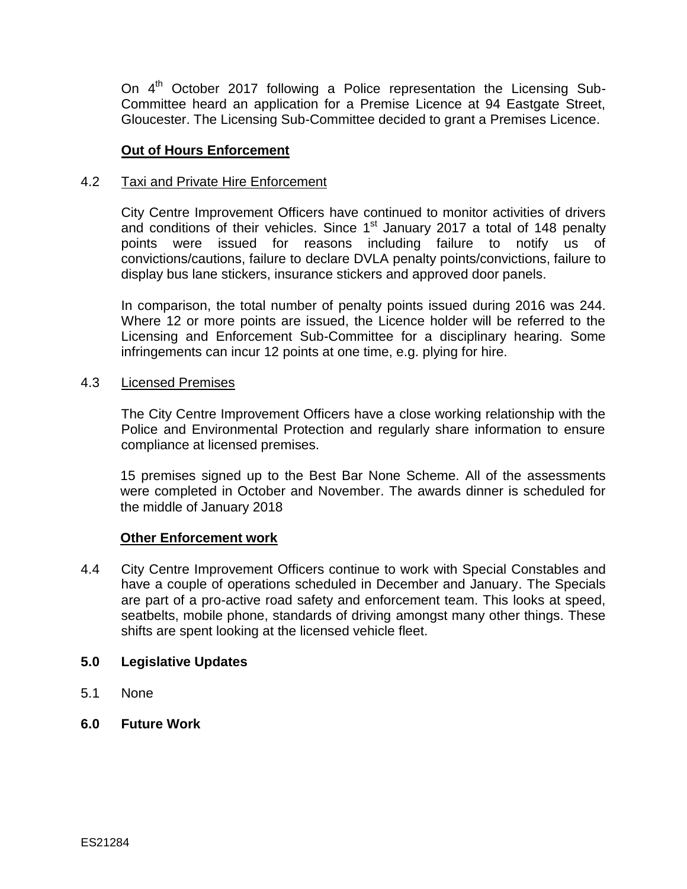On 4<sup>th</sup> October 2017 following a Police representation the Licensing Sub-Committee heard an application for a Premise Licence at 94 Eastgate Street, Gloucester. The Licensing Sub-Committee decided to grant a Premises Licence.

### **Out of Hours Enforcement**

### 4.2 Taxi and Private Hire Enforcement

City Centre Improvement Officers have continued to monitor activities of drivers and conditions of their vehicles. Since  $1<sup>st</sup>$  January 2017 a total of 148 penalty points were issued for reasons including failure to notify us of convictions/cautions, failure to declare DVLA penalty points/convictions, failure to display bus lane stickers, insurance stickers and approved door panels.

In comparison, the total number of penalty points issued during 2016 was 244. Where 12 or more points are issued, the Licence holder will be referred to the Licensing and Enforcement Sub-Committee for a disciplinary hearing. Some infringements can incur 12 points at one time, e.g. plying for hire.

#### 4.3 Licensed Premises

The City Centre Improvement Officers have a close working relationship with the Police and Environmental Protection and regularly share information to ensure compliance at licensed premises.

15 premises signed up to the Best Bar None Scheme. All of the assessments were completed in October and November. The awards dinner is scheduled for the middle of January 2018

#### **Other Enforcement work**

4.4 City Centre Improvement Officers continue to work with Special Constables and have a couple of operations scheduled in December and January. The Specials are part of a pro-active road safety and enforcement team. This looks at speed, seatbelts, mobile phone, standards of driving amongst many other things. These shifts are spent looking at the licensed vehicle fleet.

#### **5.0 Legislative Updates**

- 5.1 None
- **6.0 Future Work**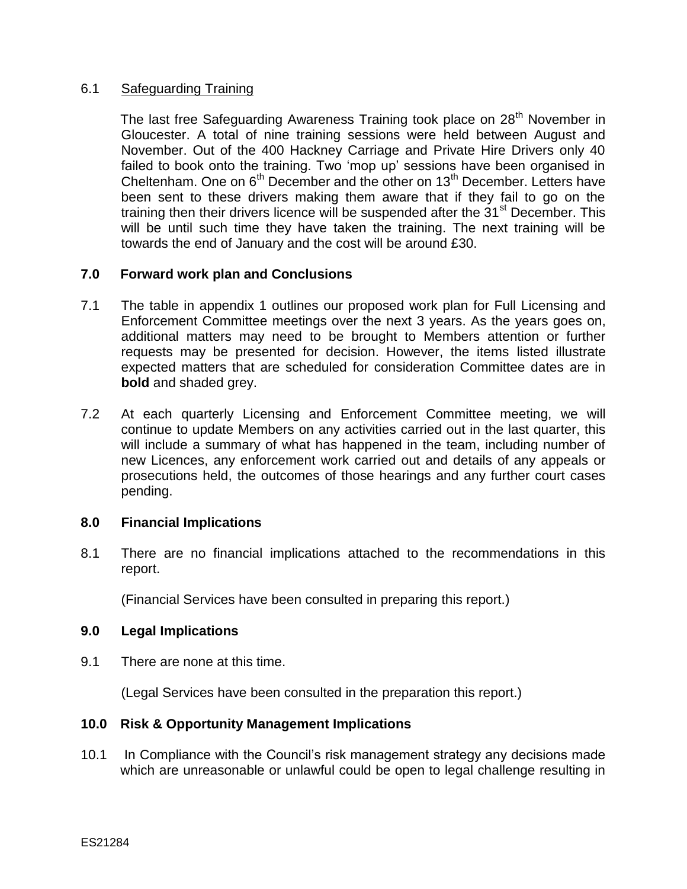# 6.1 Safeguarding Training

The last free Safeguarding Awareness Training took place on 28<sup>th</sup> November in Gloucester. A total of nine training sessions were held between August and November. Out of the 400 Hackney Carriage and Private Hire Drivers only 40 failed to book onto the training. Two 'mop up' sessions have been organised in Cheltenham. One on  $6<sup>th</sup>$  December and the other on 13<sup>th</sup> December. Letters have been sent to these drivers making them aware that if they fail to go on the training then their drivers licence will be suspended after the 31<sup>st</sup> December. This will be until such time they have taken the training. The next training will be towards the end of January and the cost will be around £30.

### **7.0 Forward work plan and Conclusions**

- 7.1 The table in appendix 1 outlines our proposed work plan for Full Licensing and Enforcement Committee meetings over the next 3 years. As the years goes on, additional matters may need to be brought to Members attention or further requests may be presented for decision. However, the items listed illustrate expected matters that are scheduled for consideration Committee dates are in **bold** and shaded grey.
- 7.2 At each quarterly Licensing and Enforcement Committee meeting, we will continue to update Members on any activities carried out in the last quarter, this will include a summary of what has happened in the team, including number of new Licences, any enforcement work carried out and details of any appeals or prosecutions held, the outcomes of those hearings and any further court cases pending.

#### **8.0 Financial Implications**

8.1 There are no financial implications attached to the recommendations in this report.

(Financial Services have been consulted in preparing this report.)

#### **9.0 Legal Implications**

9.1 There are none at this time.

(Legal Services have been consulted in the preparation this report.)

#### **10.0 Risk & Opportunity Management Implications**

10.1 In Compliance with the Council's risk management strategy any decisions made which are unreasonable or unlawful could be open to legal challenge resulting in